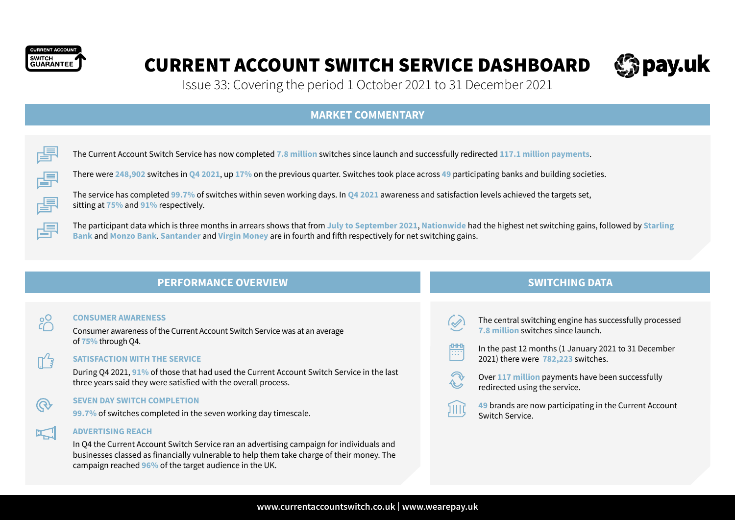

# CURRENT ACCOUNT SWITCH SERVICE DASHBOARD



Issue 33: Covering the period 1 October 2021 to 31 December 2021

## **MARKET COMMENTARY**

圕 The Current Account Switch Service has now completed **7.8 million** switches since launch and successfully redirected **117.1 million payments**.

There were **248,902** switches in **Q4 2021**, up **17%** on the previous quarter. Switches took place across **49** participating banks and building societies.



圕

**992** 

ℾʹᢃ

圕

The service has completed **99.7%** of switches within seven working days. In **Q4 2021** awareness and satisfaction levels achieved the targets set, sitting at **75%** and **91%** respectively.

The participant data which is three months in arrears shows that from **July to September 2021**, **Nationwide** had the highest net switching gains, followed by **Starling Bank** and **Monzo Bank**. **Santander** and **Virgin Money** are in fourth and fifth respectively for net switching gains.

體

illit

# **PERFORMANCE OVERVIEW AND SWITCHING DATA**

#### **CONSUMER AWARENESS**

Consumer awareness of the Current Account Switch Service was at an average of **75%** through Q4.

### **SATISFACTION WITH THE SERVICE**

During Q4 2021, **91%** of those that had used the Current Account Switch Service in the last three years said they were satisfied with the overall process.

#### **SEVEN DAY SWITCH COMPLETION**

**99.7%** of switches completed in the seven working day timescale.



ශ

#### **ADVERTISING REACH**

In Q4 the Current Account Switch Service ran an advertising campaign for individuals and businesses classed as financially vulnerable to help them take charge of their money. The campaign reached **96%** of the target audience in the UK.

- The central switching engine has successfully processed **7.8 million** switches since launch.
- In the past 12 months (1 January 2021 to 31 December 2021) there were **782,223** switches.
- Over **117 million** payments have been successfully redirected using the service.

**49** brands are now participating in the Current Account Switch Service.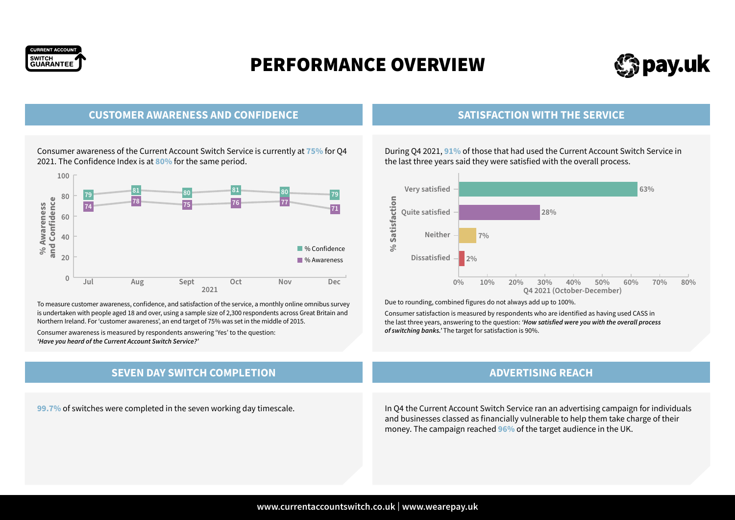

# PERFORMANCE OVERVIEW



## **CUSTOMER AWARENESS AND CONFIDENCE**

Consumer awareness of the Current Account Switch Service is currently at **75%** for Q4 2021. The Confidence Index is at **80%** for the same period.



To measure customer awareness, confidence, and satisfaction of the service, a monthly online omnibus survey is undertaken with people aged 18 and over, using a sample size of 2,300 respondents across Great Britain and Northern Ireland. For 'customer awareness', an end target of 75% was set in the middle of 2015.

Consumer awareness is measured by respondents answering 'Yes' to the question: *'Have you heard of the Current Account Switch Service?'*

## **SEVEN DAY SWITCH COMPLETION**

### **SATISFACTION WITH THE SERVICE**

During Q4 2021, **91%** of those that had used the Current Account Switch Service in the last three years said they were satisfied with the overall process.



Due to rounding, combined figures do not always add up to 100%.

Consumer satisfaction is measured by respondents who are identified as having used CASS in the last three years, answering to the question: *'How satisfied were you with the overall process of switching banks.'* The target for satisfaction is 90%.

### **ADVERTISING REACH**

**99.7%** of switches were completed in the seven working day timescale. In Q4 the Current Account Switch Service ran an advertising campaign for individuals and businesses classed as financially vulnerable to help them take charge of their money. The campaign reached **96%** of the target audience in the UK.

### **www.currentaccountswitch.co.uk** | **www.wearepay.uk**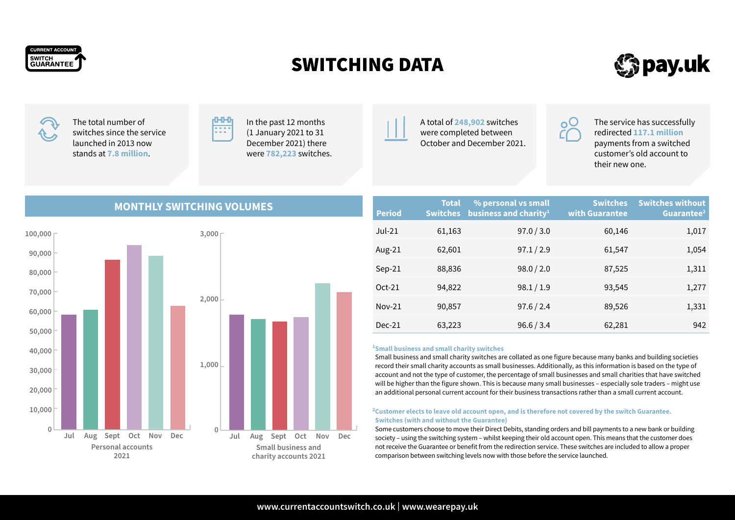

# SWITCHING DATA



The total number of switches since the service launched in 2013 now stands at **7.8 million**.



In the past 12 months (1 January 2021 to 31 December 2021) there were **782,223** switches.



The service has successfully redirected **117.1 million** payments from a switched customer's old account to their new one.

# **MONTHLY SWITCHING VOLUMES**



| <b>Period</b> | <b>Total</b><br><b>Switches</b> | % personal vs small<br>business and charity <sup>1</sup> | <b>Switches</b><br>with Guarantee | <b>Switches without</b><br>Guarantee <sup>2</sup> |
|---------------|---------------------------------|----------------------------------------------------------|-----------------------------------|---------------------------------------------------|
| $Jul-21$      | 61,163                          | 97.0 / 3.0                                               | 60,146                            | 1,017                                             |
| Aug-21        | 62,601                          | 97.1 / 2.9                                               | 61,547                            | 1,054                                             |
| $Sep-21$      | 88,836                          | 98.0 / 2.0                                               | 87,525                            | 1,311                                             |
| $Oct-21$      | 94,822                          | 98.1 / 1.9                                               | 93,545                            | 1,277                                             |
| $Nov-21$      | 90,857                          | 97.6 / 2.4                                               | 89,526                            | 1,331                                             |
| $Dec-21$      | 63,223                          | 96.6 / 3.4                                               | 62,281                            | 942                                               |

#### **1 Small business and small charity switches**

Small business and small charity switches are collated as one figure because many banks and building societies record their small charity accounts as small businesses. Additionally, as this information is based on the type of account and not the type of customer, the percentage of small businesses and small charities that have switched will be higher than the figure shown. This is because many small businesses – especially sole traders – might use an additional personal current account for their business transactions rather than a small current account.

#### **2 Customer elects to leave old account open, and is therefore not covered by the switch Guarantee. Switches (with and without the Guarantee)**

Some customers choose to move their Direct Debits, standing orders and bill payments to a new bank or building society – using the switching system – whilst keeping their old account open. This means that the customer does not receive the Guarantee or benefit from the redirection service. These switches are included to allow a proper comparison between switching levels now with those before the service launched.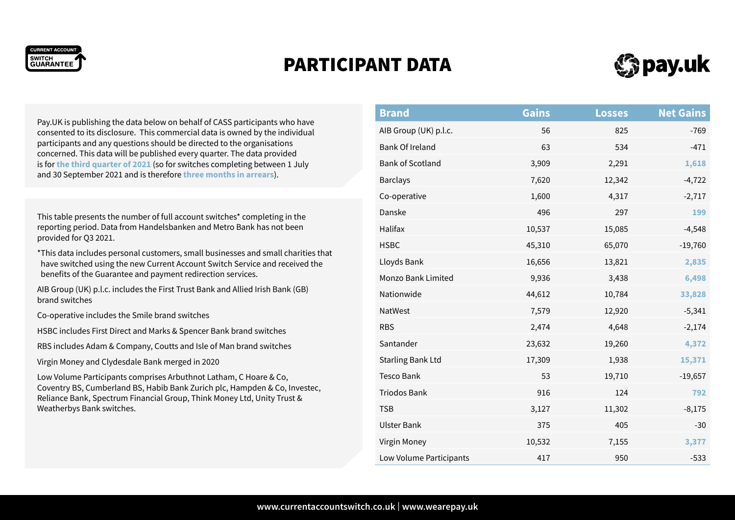

# PARTICIPANT DATA



Pay.UK is publishing the data below on behalf of CASS participants who have consented to its disclosure. This commercial data is owned by the individual participants and any questions should be directed to the organisations concerned. This data will be published every quarter. The data provided is for **the third quarter of 2021** (so for switches completing between 1 July and 30 September 2021 and is therefore **three months in arrears**).

This table presents the number of full account switches\* completing in the reporting period. Data from Handelsbanken and Metro Bank has not been provided for Q3 2021.

\*This data includes personal customers, small businesses and small charities that have switched using the new Current Account Switch Service and received the benefits of the Guarantee and payment redirection services.

AIB Group (UK) p.l.c. includes the First Trust Bank and Allied Irish Bank (GB) brand switches

Co-operative includes the Smile brand switches

HSBC includes First Direct and Marks & Spencer Bank brand switches

RBS includes Adam & Company, Coutts and Isle of Man brand switches

Virgin Money and Clydesdale Bank merged in 2020

Low Volume Participants comprises Arbuthnot Latham, C Hoare & Co, Coventry BS, Cumberland BS, Habib Bank Zurich plc, Hampden & Co, Investec, Reliance Bank, Spectrum Financial Group, Think Money Ltd, Unity Trust & Weatherbys Bank switches.

| <b>Brand</b>             | <b>Gains</b> | <b>Losses</b> | <b>Net Gains</b> |
|--------------------------|--------------|---------------|------------------|
| AIB Group (UK) p.l.c.    | 56           | 825           | $-769$           |
| <b>Bank Of Ireland</b>   | 63           | 534           | $-471$           |
| <b>Bank of Scotland</b>  | 3,909        | 2,291         | 1,618            |
| <b>Barclays</b>          | 7,620        | 12,342        | $-4,722$         |
| Co-operative             | 1,600        | 4,317         | $-2,717$         |
| Danske                   | 496          | 297           | 199              |
| Halifax                  | 10,537       | 15,085        | $-4,548$         |
| <b>HSBC</b>              | 45,310       | 65,070        | $-19,760$        |
| Lloyds Bank              | 16,656       | 13,821        | 2,835            |
| Monzo Bank Limited       | 9,936        | 3,438         | 6,498            |
| Nationwide               | 44,612       | 10,784        | 33,828           |
| NatWest                  | 7,579        | 12,920        | $-5,341$         |
| <b>RBS</b>               | 2,474        | 4,648         | $-2,174$         |
| Santander                | 23,632       | 19,260        | 4,372            |
| <b>Starling Bank Ltd</b> | 17,309       | 1,938         | 15,371           |
| <b>Tesco Bank</b>        | 53           | 19,710        | $-19,657$        |
| <b>Triodos Bank</b>      | 916          | 124           | 792              |
| <b>TSB</b>               | 3,127        | 11,302        | $-8,175$         |
| <b>Ulster Bank</b>       | 375          | 405           | $-30$            |
| Virgin Money             | 10,532       | 7,155         | 3,377            |
| Low Volume Participants  | 417          | 950           | $-533$           |